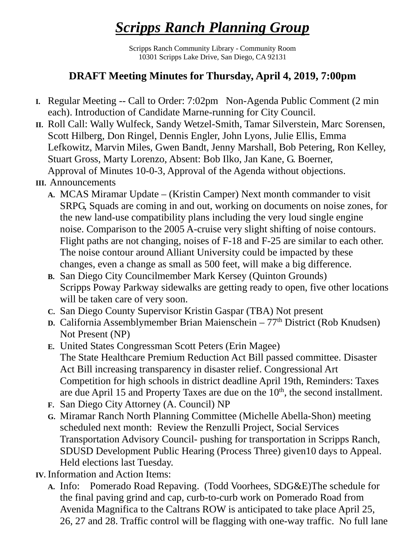## *Scripps Ranch Planning Group*

Scripps Ranch Community Library - Community Room 10301 Scripps Lake Drive, San Diego, CA 92131

## **DRAFT Meeting Minutes for Thursday, April 4, 2019, 7:00pm**

- **I.** Regular Meeting -- Call to Order: 7:02pm Non-Agenda Public Comment (2 min each). Introduction of Candidate Marne-running for City Council.
- **II.** Roll Call: Wally Wulfeck, Sandy Wetzel-Smith, Tamar Silverstein, Marc Sorensen, Scott Hilberg, Don Ringel, Dennis Engler, John Lyons, Julie Ellis, Emma Lefkowitz, Marvin Miles, Gwen Bandt, Jenny Marshall, Bob Petering, Ron Kelley, Stuart Gross, Marty Lorenzo, Absent: Bob Ilko, Jan Kane, G. Boerner, Approval of Minutes 10-0-3, Approval of the Agenda without objections.

## **III.** Announcements

- **A.** MCAS Miramar Update (Kristin Camper) Next month commander to visit SRPG, Squads are coming in and out, working on documents on noise zones, for the new land-use compatibility plans including the very loud single engine noise. Comparison to the 2005 A-cruise very slight shifting of noise contours. Flight paths are not changing, noises of F-18 and F-25 are similar to each other. The noise contour around Alliant University could be impacted by these changes, even a change as small as 500 feet, will make a big difference.
- **B.** San Diego City Councilmember Mark Kersey (Quinton Grounds) Scripps Poway Parkway sidewalks are getting ready to open, five other locations will be taken care of very soon.
- **C.** San Diego County Supervisor Kristin Gaspar (TBA) Not present
- **D.** California Assemblymember Brian Maienschein 77<sup>th</sup> District (Rob Knudsen) Not Present (NP)
- **E.** United States Congressman Scott Peters (Erin Magee) The State Healthcare Premium Reduction Act Bill passed committee. Disaster Act Bill increasing transparency in disaster relief. Congressional Art Competition for high schools in district deadline April 19th, Reminders: Taxes are due April 15 and Property Taxes are due on the  $10<sup>th</sup>$ , the second installment.
- **F.** San Diego City Attorney (A. Council) NP
- **G.** Miramar Ranch North Planning Committee (Michelle Abella-Shon) meeting scheduled next month: Review the Renzulli Project, Social Services Transportation Advisory Council- pushing for transportation in Scripps Ranch, SDUSD Development Public Hearing (Process Three) given10 days to Appeal. Held elections last Tuesday.
- **IV.** Information and Action Items:
	- **A.** Info: Pomerado Road Repaving. (Todd Voorhees, SDG&E)The schedule for the final paving grind and cap, curb-to-curb work on Pomerado Road from Avenida Magnifica to the Caltrans ROW is anticipated to take place April 25, 26, 27 and 28. Traffic control will be flagging with one-way traffic. No full lane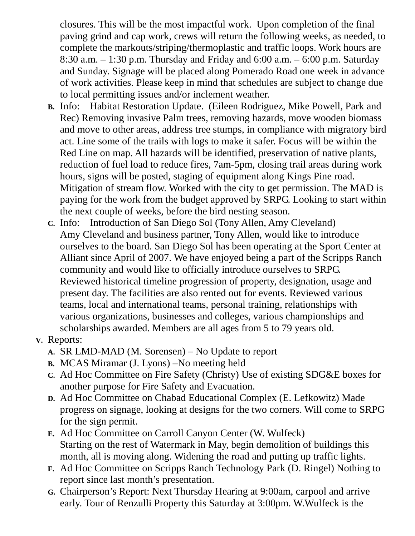closures. This will be the most impactful work. Upon completion of the final paving grind and cap work, crews will return the following weeks, as needed, to complete the markouts/striping/thermoplastic and traffic loops. Work hours are 8:30 a.m. – 1:30 p.m. Thursday and Friday and 6:00 a.m. – 6:00 p.m. Saturday and Sunday. Signage will be placed along Pomerado Road one week in advance of work activities. Please keep in mind that schedules are subject to change due to local permitting issues and/or inclement weather.

- **B.** Info: Habitat Restoration Update. (Eileen Rodriguez, Mike Powell, Park and Rec) Removing invasive Palm trees, removing hazards, move wooden biomass and move to other areas, address tree stumps, in compliance with migratory bird act. Line some of the trails with logs to make it safer. Focus will be within the Red Line on map. All hazards will be identified, preservation of native plants, reduction of fuel load to reduce fires, 7am-5pm, closing trail areas during work hours, signs will be posted, staging of equipment along Kings Pine road. Mitigation of stream flow. Worked with the city to get permission. The MAD is paying for the work from the budget approved by SRPG. Looking to start within the next couple of weeks, before the bird nesting season.
- **C.** Info: Introduction of San Diego Sol (Tony Allen, Amy Cleveland) Amy Cleveland and business partner, Tony Allen, would like to introduce ourselves to the board. San Diego Sol has been operating at the Sport Center at Alliant since April of 2007. We have enjoyed being a part of the Scripps Ranch community and would like to officially introduce ourselves to SRPG. Reviewed historical timeline progression of property, designation, usage and present day. The facilities are also rented out for events. Reviewed various teams, local and international teams, personal training, relationships with various organizations, businesses and colleges, various championships and scholarships awarded. Members are all ages from 5 to 79 years old.

## **V.** Reports:

- **A.** SR LMD-MAD (M. Sorensen) No Update to report
- **B.** MCAS Miramar (J. Lyons) –No meeting held
- **C.** Ad Hoc Committee on Fire Safety (Christy) Use of existing SDG&E boxes for another purpose for Fire Safety and Evacuation.
- **D.** Ad Hoc Committee on Chabad Educational Complex (E. Lefkowitz) Made progress on signage, looking at designs for the two corners. Will come to SRPG for the sign permit.
- **E.** Ad Hoc Committee on Carroll Canyon Center (W. Wulfeck) Starting on the rest of Watermark in May, begin demolition of buildings this month, all is moving along. Widening the road and putting up traffic lights.
- **F.** Ad Hoc Committee on Scripps Ranch Technology Park (D. Ringel) Nothing to report since last month's presentation.
- **G.** Chairperson's Report: Next Thursday Hearing at 9:00am, carpool and arrive early. Tour of Renzulli Property this Saturday at 3:00pm. W.Wulfeck is the